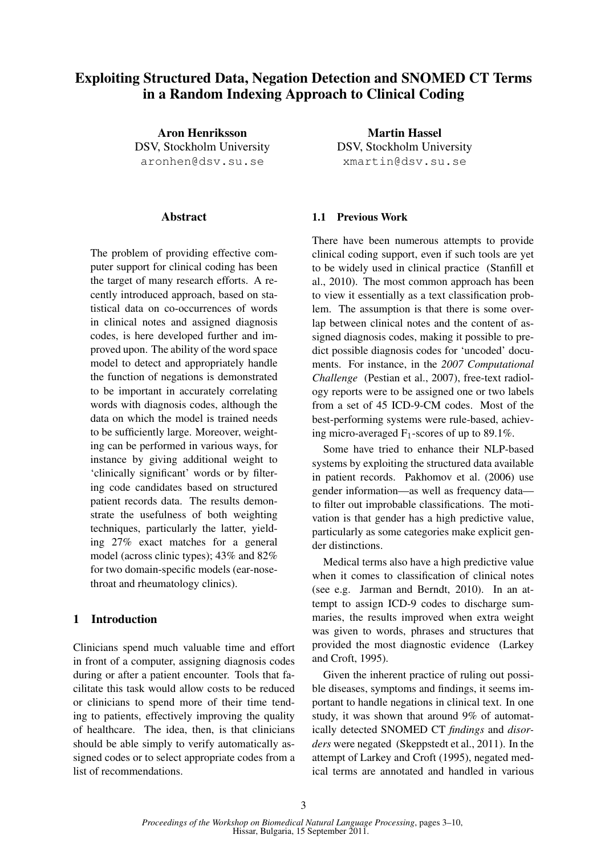# Exploiting Structured Data, Negation Detection and SNOMED CT Terms in a Random Indexing Approach to Clinical Coding

Aron Henriksson DSV, Stockholm University aronhen@dsv.su.se

### Abstract

The problem of providing effective computer support for clinical coding has been the target of many research efforts. A recently introduced approach, based on statistical data on co-occurrences of words in clinical notes and assigned diagnosis codes, is here developed further and improved upon. The ability of the word space model to detect and appropriately handle the function of negations is demonstrated to be important in accurately correlating words with diagnosis codes, although the data on which the model is trained needs to be sufficiently large. Moreover, weighting can be performed in various ways, for instance by giving additional weight to 'clinically significant' words or by filtering code candidates based on structured patient records data. The results demonstrate the usefulness of both weighting techniques, particularly the latter, yielding 27% exact matches for a general model (across clinic types); 43% and 82% for two domain-specific models (ear-nosethroat and rheumatology clinics).

### 1 Introduction

Clinicians spend much valuable time and effort in front of a computer, assigning diagnosis codes during or after a patient encounter. Tools that facilitate this task would allow costs to be reduced or clinicians to spend more of their time tending to patients, effectively improving the quality of healthcare. The idea, then, is that clinicians should be able simply to verify automatically assigned codes or to select appropriate codes from a list of recommendations.

Martin Hassel DSV, Stockholm University xmartin@dsv.su.se

### 1.1 Previous Work

There have been numerous attempts to provide clinical coding support, even if such tools are yet to be widely used in clinical practice (Stanfill et al., 2010). The most common approach has been to view it essentially as a text classification problem. The assumption is that there is some overlap between clinical notes and the content of assigned diagnosis codes, making it possible to predict possible diagnosis codes for 'uncoded' documents. For instance, in the *2007 Computational Challenge* (Pestian et al., 2007), free-text radiology reports were to be assigned one or two labels from a set of 45 ICD-9-CM codes. Most of the best-performing systems were rule-based, achieving micro-averaged  $F_1$ -scores of up to 89.1%.

Some have tried to enhance their NLP-based systems by exploiting the structured data available in patient records. Pakhomov et al. (2006) use gender information—as well as frequency data to filter out improbable classifications. The motivation is that gender has a high predictive value, particularly as some categories make explicit gender distinctions.

Medical terms also have a high predictive value when it comes to classification of clinical notes (see e.g. Jarman and Berndt, 2010). In an attempt to assign ICD-9 codes to discharge summaries, the results improved when extra weight was given to words, phrases and structures that provided the most diagnostic evidence (Larkey and Croft, 1995).

Given the inherent practice of ruling out possible diseases, symptoms and findings, it seems important to handle negations in clinical text. In one study, it was shown that around 9% of automatically detected SNOMED CT *findings* and *disorders* were negated (Skeppstedt et al., 2011). In the attempt of Larkey and Croft (1995), negated medical terms are annotated and handled in various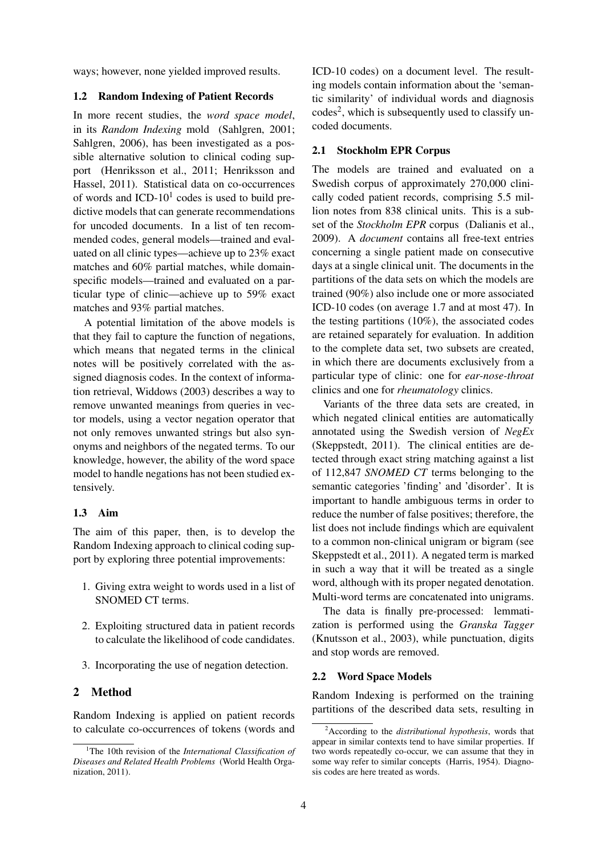ways; however, none yielded improved results.

#### 1.2 Random Indexing of Patient Records

In more recent studies, the *word space model*, in its *Random Indexing* mold (Sahlgren, 2001; Sahlgren, 2006), has been investigated as a possible alternative solution to clinical coding support (Henriksson et al., 2011; Henriksson and Hassel, 2011). Statistical data on co-occurrences of words and  $ICD-10<sup>1</sup>$  codes is used to build predictive models that can generate recommendations for uncoded documents. In a list of ten recommended codes, general models—trained and evaluated on all clinic types—achieve up to 23% exact matches and 60% partial matches, while domainspecific models—trained and evaluated on a particular type of clinic—achieve up to 59% exact matches and 93% partial matches.

A potential limitation of the above models is that they fail to capture the function of negations, which means that negated terms in the clinical notes will be positively correlated with the assigned diagnosis codes. In the context of information retrieval, Widdows (2003) describes a way to remove unwanted meanings from queries in vector models, using a vector negation operator that not only removes unwanted strings but also synonyms and neighbors of the negated terms. To our knowledge, however, the ability of the word space model to handle negations has not been studied extensively.

#### 1.3 Aim

The aim of this paper, then, is to develop the Random Indexing approach to clinical coding support by exploring three potential improvements:

- 1. Giving extra weight to words used in a list of SNOMED CT terms.
- 2. Exploiting structured data in patient records to calculate the likelihood of code candidates.
- 3. Incorporating the use of negation detection.

#### 2 Method

Random Indexing is applied on patient records to calculate co-occurrences of tokens (words and

ICD-10 codes) on a document level. The resulting models contain information about the 'semantic similarity' of individual words and diagnosis codes<sup>2</sup>, which is subsequently used to classify uncoded documents.

#### 2.1 Stockholm EPR Corpus

The models are trained and evaluated on a Swedish corpus of approximately 270,000 clinically coded patient records, comprising 5.5 million notes from 838 clinical units. This is a subset of the *Stockholm EPR* corpus (Dalianis et al., 2009). A *document* contains all free-text entries concerning a single patient made on consecutive days at a single clinical unit. The documents in the partitions of the data sets on which the models are trained (90%) also include one or more associated ICD-10 codes (on average 1.7 and at most 47). In the testing partitions  $(10\%)$ , the associated codes are retained separately for evaluation. In addition to the complete data set, two subsets are created, in which there are documents exclusively from a particular type of clinic: one for *ear-nose-throat* clinics and one for *rheumatology* clinics.

Variants of the three data sets are created, in which negated clinical entities are automatically annotated using the Swedish version of *NegEx* (Skeppstedt, 2011). The clinical entities are detected through exact string matching against a list of 112,847 *SNOMED CT* terms belonging to the semantic categories 'finding' and 'disorder'. It is important to handle ambiguous terms in order to reduce the number of false positives; therefore, the list does not include findings which are equivalent to a common non-clinical unigram or bigram (see Skeppstedt et al., 2011). A negated term is marked in such a way that it will be treated as a single word, although with its proper negated denotation. Multi-word terms are concatenated into unigrams.

The data is finally pre-processed: lemmatization is performed using the *Granska Tagger* (Knutsson et al., 2003), while punctuation, digits and stop words are removed.

### 2.2 Word Space Models

Random Indexing is performed on the training partitions of the described data sets, resulting in

<sup>&</sup>lt;sup>1</sup>The 10th revision of the *International Classification of Diseases and Related Health Problems* (World Health Organization, 2011).

<sup>2</sup>According to the *distributional hypothesis*, words that appear in similar contexts tend to have similar properties. If two words repeatedly co-occur, we can assume that they in some way refer to similar concepts (Harris, 1954). Diagnosis codes are here treated as words.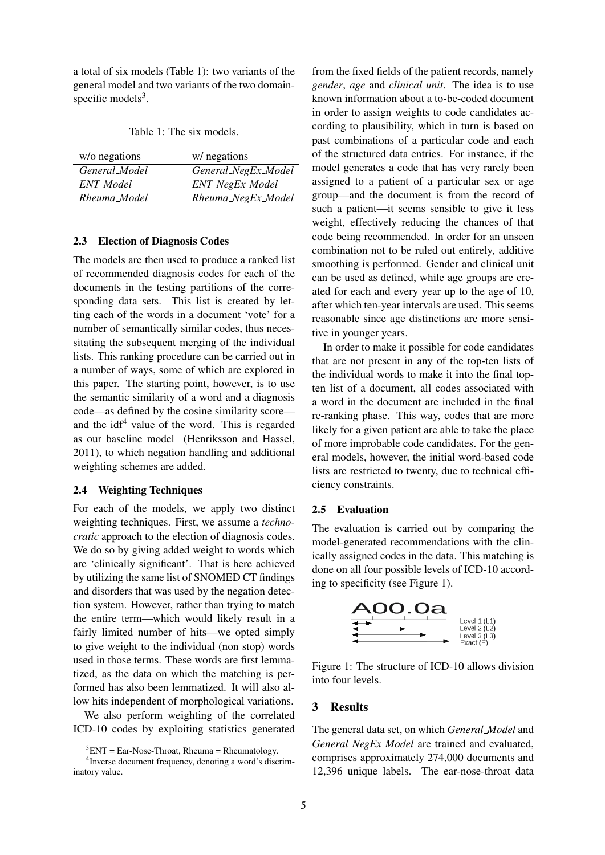a total of six models (Table 1): two variants of the general model and two variants of the two domainspecific models<sup>3</sup>.

Table 1: The six models.

| w/o negations | w/ negations        |
|---------------|---------------------|
| General Model | General NegEx Model |
| ENT_Model     | ENT_NegEx_Model     |
| Rheuma_Model  | Rheuma_NegEx_Model  |

#### 2.3 Election of Diagnosis Codes

The models are then used to produce a ranked list of recommended diagnosis codes for each of the documents in the testing partitions of the corresponding data sets. This list is created by letting each of the words in a document 'vote' for a number of semantically similar codes, thus necessitating the subsequent merging of the individual lists. This ranking procedure can be carried out in a number of ways, some of which are explored in this paper. The starting point, however, is to use the semantic similarity of a word and a diagnosis code—as defined by the cosine similarity score and the  $\mathrm{id}^{4}$  value of the word. This is regarded as our baseline model (Henriksson and Hassel, 2011), to which negation handling and additional weighting schemes are added.

#### 2.4 Weighting Techniques

For each of the models, we apply two distinct weighting techniques. First, we assume a *technocratic* approach to the election of diagnosis codes. We do so by giving added weight to words which are 'clinically significant'. That is here achieved by utilizing the same list of SNOMED CT findings and disorders that was used by the negation detection system. However, rather than trying to match the entire term—which would likely result in a fairly limited number of hits—we opted simply to give weight to the individual (non stop) words used in those terms. These words are first lemmatized, as the data on which the matching is performed has also been lemmatized. It will also allow hits independent of morphological variations.

We also perform weighting of the correlated ICD-10 codes by exploiting statistics generated

from the fixed fields of the patient records, namely *gender*, *age* and *clinical unit*. The idea is to use known information about a to-be-coded document in order to assign weights to code candidates according to plausibility, which in turn is based on past combinations of a particular code and each of the structured data entries. For instance, if the model generates a code that has very rarely been assigned to a patient of a particular sex or age group—and the document is from the record of such a patient—it seems sensible to give it less weight, effectively reducing the chances of that code being recommended. In order for an unseen combination not to be ruled out entirely, additive smoothing is performed. Gender and clinical unit can be used as defined, while age groups are created for each and every year up to the age of 10, after which ten-year intervals are used. This seems reasonable since age distinctions are more sensitive in younger years.

In order to make it possible for code candidates that are not present in any of the top-ten lists of the individual words to make it into the final topten list of a document, all codes associated with a word in the document are included in the final re-ranking phase. This way, codes that are more likely for a given patient are able to take the place of more improbable code candidates. For the general models, however, the initial word-based code lists are restricted to twenty, due to technical efficiency constraints.

#### 2.5 Evaluation

The evaluation is carried out by comparing the model-generated recommendations with the clinically assigned codes in the data. This matching is done on all four possible levels of ICD-10 according to specificity (see Figure 1).



Figure 1: The structure of ICD-10 allows division into four levels.

# 3 Results

The general data set, on which *General Model* and *General NegEx Model* are trained and evaluated, comprises approximately 274,000 documents and 12,396 unique labels. The ear-nose-throat data

 ${}^{3}$ ENT = Ear-Nose-Throat, Rheuma = Rheumatology.

<sup>4</sup> Inverse document frequency, denoting a word's discriminatory value.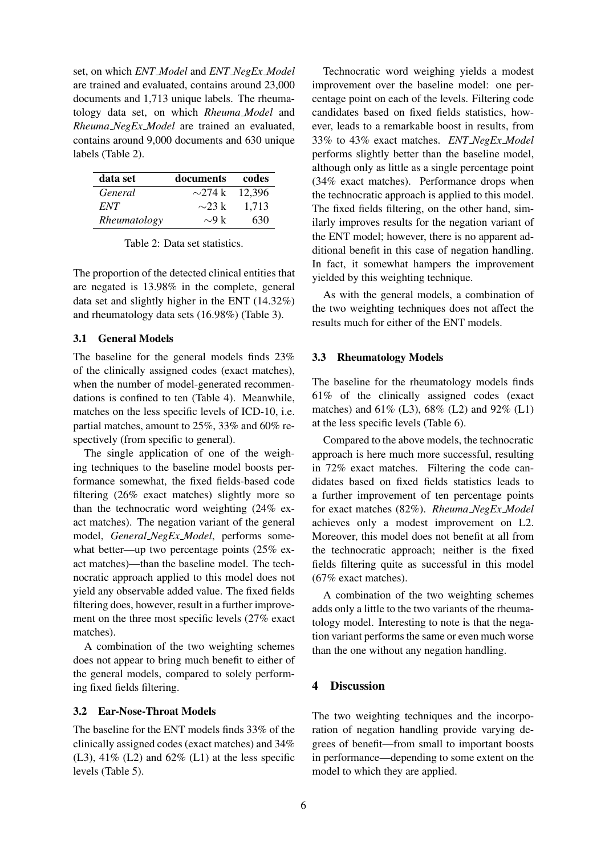set, on which *ENT Model* and *ENT NegEx Model* are trained and evaluated, contains around 23,000 documents and 1,713 unique labels. The rheumatology data set, on which *Rheuma Model* and *Rheuma NegEx Model* are trained an evaluated, contains around 9,000 documents and 630 unique labels (Table 2).

| data set     | documents          | codes  |
|--------------|--------------------|--------|
| General      | $\sim$ 274 k       | 12,396 |
| ENT          | $\sim$ 23 k        | 1.713  |
| Rheumatology | $\sim 9 \text{ k}$ | 630    |

Table 2: Data set statistics.

The proportion of the detected clinical entities that are negated is 13.98% in the complete, general data set and slightly higher in the ENT (14.32%) and rheumatology data sets (16.98%) (Table 3).

### 3.1 General Models

The baseline for the general models finds 23% of the clinically assigned codes (exact matches), when the number of model-generated recommendations is confined to ten (Table 4). Meanwhile, matches on the less specific levels of ICD-10, i.e. partial matches, amount to 25%, 33% and 60% respectively (from specific to general).

The single application of one of the weighing techniques to the baseline model boosts performance somewhat, the fixed fields-based code filtering (26% exact matches) slightly more so than the technocratic word weighting (24% exact matches). The negation variant of the general model, *General NegEx Model*, performs somewhat better—up two percentage points (25% exact matches)—than the baseline model. The technocratic approach applied to this model does not yield any observable added value. The fixed fields filtering does, however, result in a further improvement on the three most specific levels (27% exact matches).

A combination of the two weighting schemes does not appear to bring much benefit to either of the general models, compared to solely performing fixed fields filtering.

#### 3.2 Ear-Nose-Throat Models

The baseline for the ENT models finds 33% of the clinically assigned codes (exact matches) and 34%  $(L3)$ , 41%  $(L2)$  and 62%  $(L1)$  at the less specific levels (Table 5).

Technocratic word weighing yields a modest improvement over the baseline model: one percentage point on each of the levels. Filtering code candidates based on fixed fields statistics, however, leads to a remarkable boost in results, from 33% to 43% exact matches. *ENT NegEx Model* performs slightly better than the baseline model, although only as little as a single percentage point (34% exact matches). Performance drops when the technocratic approach is applied to this model. The fixed fields filtering, on the other hand, similarly improves results for the negation variant of the ENT model; however, there is no apparent additional benefit in this case of negation handling. In fact, it somewhat hampers the improvement yielded by this weighting technique.

As with the general models, a combination of the two weighting techniques does not affect the results much for either of the ENT models.

#### 3.3 Rheumatology Models

The baseline for the rheumatology models finds 61% of the clinically assigned codes (exact matches) and 61% (L3), 68% (L2) and 92% (L1) at the less specific levels (Table 6).

Compared to the above models, the technocratic approach is here much more successful, resulting in 72% exact matches. Filtering the code candidates based on fixed fields statistics leads to a further improvement of ten percentage points for exact matches (82%). *Rheuma NegEx Model* achieves only a modest improvement on L2. Moreover, this model does not benefit at all from the technocratic approach; neither is the fixed fields filtering quite as successful in this model (67% exact matches).

A combination of the two weighting schemes adds only a little to the two variants of the rheumatology model. Interesting to note is that the negation variant performs the same or even much worse than the one without any negation handling.

# 4 Discussion

The two weighting techniques and the incorporation of negation handling provide varying degrees of benefit—from small to important boosts in performance—depending to some extent on the model to which they are applied.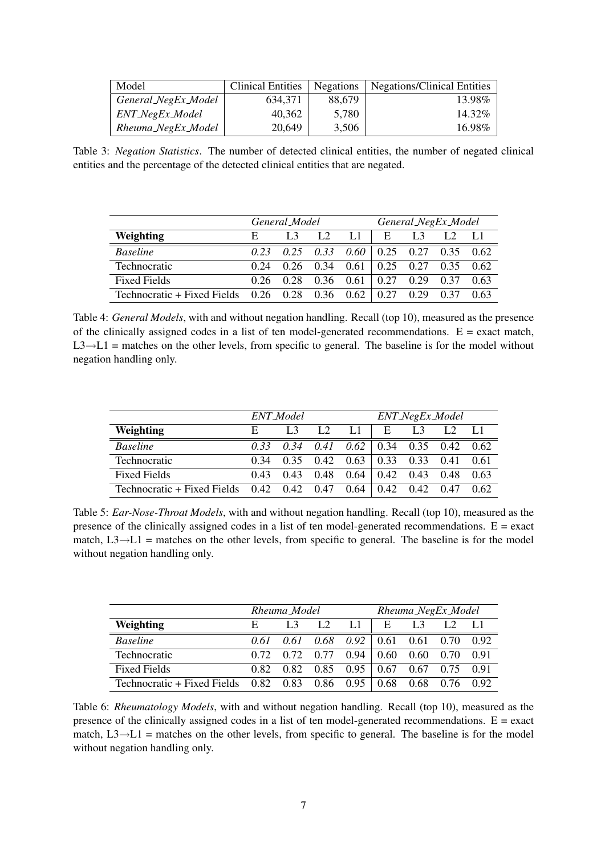| Model               | <b>Clinical Entities</b> | Negations | <b>Negations/Clinical Entities</b> |
|---------------------|--------------------------|-----------|------------------------------------|
| General_NegEx_Model | 634.371                  | 88.679    | 13.98%                             |
| ENT_NegEx_Model     | 40.362                   | 5.780     | 14.32%                             |
| Rheuma_NegEx_Model  | 20,649                   | 3.506     | 16.98%                             |

Table 3: *Negation Statistics*. The number of detected clinical entities, the number of negated clinical entities and the percentage of the detected clinical entities that are negated.

|                                                                | General Model |              |    |    | General_NegEx_Model |                                                           |      |      |
|----------------------------------------------------------------|---------------|--------------|----|----|---------------------|-----------------------------------------------------------|------|------|
| Weighting                                                      | E             | $L_{\rm{3}}$ | L2 | L1 | E                   | L <sub>3</sub>                                            |      |      |
| <b>Baseline</b>                                                |               |              |    |    |                     | $0.23$ $0.25$ $0.33$ $0.60$   $0.25$ $0.27$ $0.35$ $0.62$ |      |      |
| Technocratic                                                   |               |              |    |    |                     | $0.24$ 0.26 0.34 0.61 0.25 0.27 0.35 0.62                 |      |      |
| <b>Fixed Fields</b>                                            |               |              |    |    |                     | $0.26$ $0.28$ $0.36$ $0.61$ $0.27$ $0.29$                 | 0.37 | 0.63 |
| Technocratic + Fixed Fields $0.26$ $0.28$ $0.36$ $0.62$   0.27 |               |              |    |    |                     | 0.29                                                      | 0.37 | 0.63 |

Table 4: *General Models*, with and without negation handling. Recall (top 10), measured as the presence of the clinically assigned codes in a list of ten model-generated recommendations.  $E =$  exact match,  $L3 \rightarrow L1$  = matches on the other levels, from specific to general. The baseline is for the model without negation handling only.

|                                                  | ENT_Model |      |                                                    |    | ENT_NegEx_Model                   |                |  |      |
|--------------------------------------------------|-----------|------|----------------------------------------------------|----|-----------------------------------|----------------|--|------|
| Weighting                                        | E         |      | L <sub>2</sub>                                     | L1 | E                                 | L <sub>3</sub> |  |      |
| <b>Baseline</b>                                  |           |      | $0.33$ $0.34$ $0.41$ $0.62$   $0.34$ $0.35$ $0.42$ |    |                                   |                |  | 0.62 |
| Technocratic                                     | 0.34      |      | $0.35$ 0.42 0.63 0.33 0.33 0.41                    |    |                                   |                |  | 0.61 |
| <b>Fixed Fields</b>                              | 0.43      | 0.43 | $0.48$ $0.64$   $0.42$ $0.43$ $0.48$               |    |                                   |                |  | 0.63 |
| Technocratic + Fixed Fields $0.42$ $0.42$ $0.47$ |           |      |                                                    |    | $0.64 \pm 0.42 \pm 0.42 \pm 0.47$ |                |  | 0.62 |

Table 5: *Ear-Nose-Throat Models*, with and without negation handling. Recall (top 10), measured as the presence of the clinically assigned codes in a list of ten model-generated recommendations.  $E = exact$ match,  $L3 \rightarrow L1$  = matches on the other levels, from specific to general. The baseline is for the model without negation handling only.

|                             | Rheuma_Model |      |               |               | Rheuma_NegEx_Model |                      |             |      |
|-----------------------------|--------------|------|---------------|---------------|--------------------|----------------------|-------------|------|
| Weighting                   | Е.           |      | L2            | L1.           | E                  | L <sub>3</sub>       |             |      |
| <b>Baseline</b>             | 0.61         | 0.61 |               | $0.68$ $0.92$ |                    | $0.61$ 0.61 0.70     |             | 0.92 |
| Technocratic                | 0.72         | 0.72 | 0.77          | 0.94          |                    | 0.60 0.60 0.70       |             | 0.91 |
| <b>Fixed Fields</b>         | 0.82         | 0.82 | 0.85          | 0.95          |                    | $0.67$ $0.67$ $0.75$ |             | O 91 |
| Technocratic + Fixed Fields | 0.82 0.83    |      | $0.86$ $0.95$ |               | 0.68               |                      | $0.68$ 0.76 | 0.92 |

Table 6: *Rheumatology Models*, with and without negation handling. Recall (top 10), measured as the presence of the clinically assigned codes in a list of ten model-generated recommendations.  $E = exact$ match,  $L3 \rightarrow L1$  = matches on the other levels, from specific to general. The baseline is for the model without negation handling only.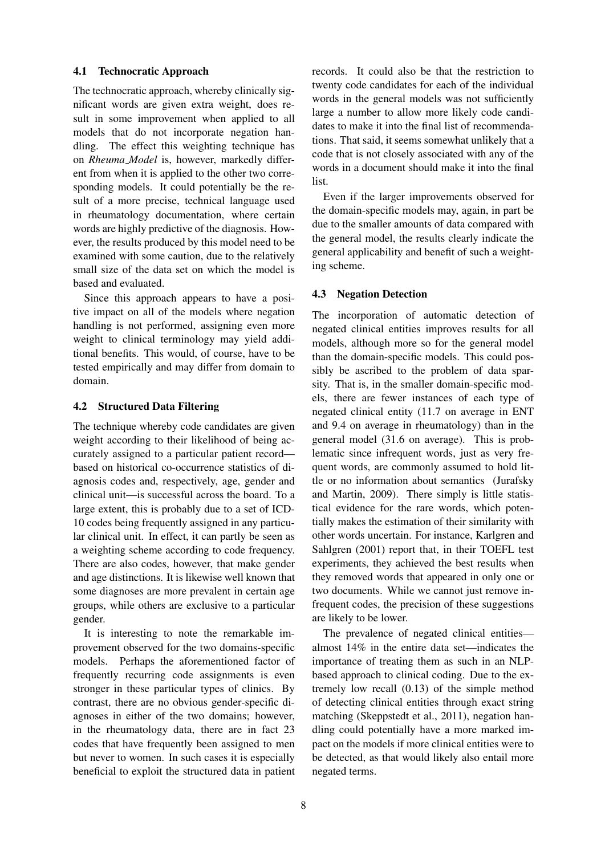#### 4.1 Technocratic Approach

The technocratic approach, whereby clinically significant words are given extra weight, does result in some improvement when applied to all models that do not incorporate negation handling. The effect this weighting technique has on *Rheuma Model* is, however, markedly different from when it is applied to the other two corresponding models. It could potentially be the result of a more precise, technical language used in rheumatology documentation, where certain words are highly predictive of the diagnosis. However, the results produced by this model need to be examined with some caution, due to the relatively small size of the data set on which the model is based and evaluated.

Since this approach appears to have a positive impact on all of the models where negation handling is not performed, assigning even more weight to clinical terminology may yield additional benefits. This would, of course, have to be tested empirically and may differ from domain to domain.

#### 4.2 Structured Data Filtering

The technique whereby code candidates are given weight according to their likelihood of being accurately assigned to a particular patient record based on historical co-occurrence statistics of diagnosis codes and, respectively, age, gender and clinical unit—is successful across the board. To a large extent, this is probably due to a set of ICD-10 codes being frequently assigned in any particular clinical unit. In effect, it can partly be seen as a weighting scheme according to code frequency. There are also codes, however, that make gender and age distinctions. It is likewise well known that some diagnoses are more prevalent in certain age groups, while others are exclusive to a particular gender.

It is interesting to note the remarkable improvement observed for the two domains-specific models. Perhaps the aforementioned factor of frequently recurring code assignments is even stronger in these particular types of clinics. By contrast, there are no obvious gender-specific diagnoses in either of the two domains; however, in the rheumatology data, there are in fact 23 codes that have frequently been assigned to men but never to women. In such cases it is especially beneficial to exploit the structured data in patient records. It could also be that the restriction to twenty code candidates for each of the individual words in the general models was not sufficiently large a number to allow more likely code candidates to make it into the final list of recommendations. That said, it seems somewhat unlikely that a code that is not closely associated with any of the words in a document should make it into the final list.

Even if the larger improvements observed for the domain-specific models may, again, in part be due to the smaller amounts of data compared with the general model, the results clearly indicate the general applicability and benefit of such a weighting scheme.

### 4.3 Negation Detection

The incorporation of automatic detection of negated clinical entities improves results for all models, although more so for the general model than the domain-specific models. This could possibly be ascribed to the problem of data sparsity. That is, in the smaller domain-specific models, there are fewer instances of each type of negated clinical entity (11.7 on average in ENT and 9.4 on average in rheumatology) than in the general model (31.6 on average). This is problematic since infrequent words, just as very frequent words, are commonly assumed to hold little or no information about semantics (Jurafsky and Martin, 2009). There simply is little statistical evidence for the rare words, which potentially makes the estimation of their similarity with other words uncertain. For instance, Karlgren and Sahlgren (2001) report that, in their TOEFL test experiments, they achieved the best results when they removed words that appeared in only one or two documents. While we cannot just remove infrequent codes, the precision of these suggestions are likely to be lower.

The prevalence of negated clinical entities almost 14% in the entire data set—indicates the importance of treating them as such in an NLPbased approach to clinical coding. Due to the extremely low recall (0.13) of the simple method of detecting clinical entities through exact string matching (Skeppstedt et al., 2011), negation handling could potentially have a more marked impact on the models if more clinical entities were to be detected, as that would likely also entail more negated terms.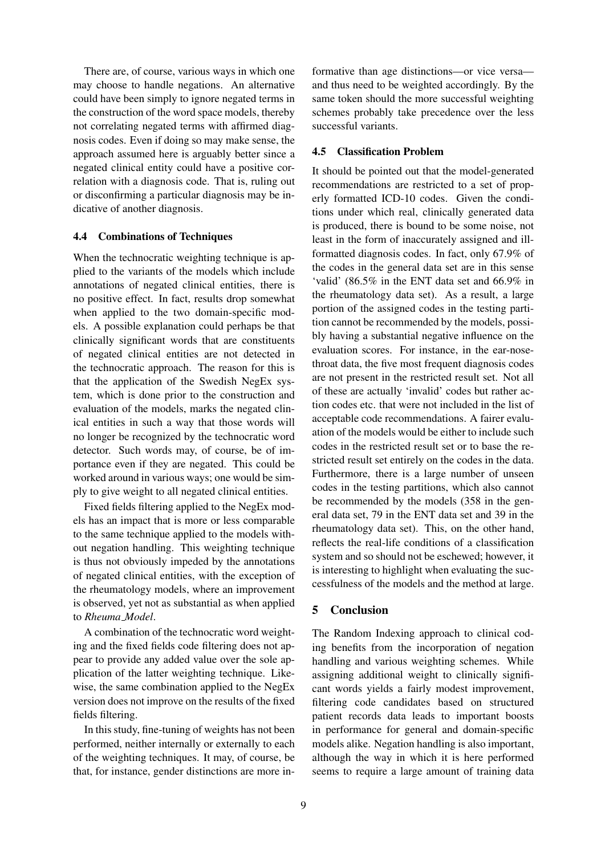There are, of course, various ways in which one may choose to handle negations. An alternative could have been simply to ignore negated terms in the construction of the word space models, thereby not correlating negated terms with affirmed diagnosis codes. Even if doing so may make sense, the approach assumed here is arguably better since a negated clinical entity could have a positive correlation with a diagnosis code. That is, ruling out or disconfirming a particular diagnosis may be indicative of another diagnosis.

#### 4.4 Combinations of Techniques

When the technocratic weighting technique is applied to the variants of the models which include annotations of negated clinical entities, there is no positive effect. In fact, results drop somewhat when applied to the two domain-specific models. A possible explanation could perhaps be that clinically significant words that are constituents of negated clinical entities are not detected in the technocratic approach. The reason for this is that the application of the Swedish NegEx system, which is done prior to the construction and evaluation of the models, marks the negated clinical entities in such a way that those words will no longer be recognized by the technocratic word detector. Such words may, of course, be of importance even if they are negated. This could be worked around in various ways; one would be simply to give weight to all negated clinical entities.

Fixed fields filtering applied to the NegEx models has an impact that is more or less comparable to the same technique applied to the models without negation handling. This weighting technique is thus not obviously impeded by the annotations of negated clinical entities, with the exception of the rheumatology models, where an improvement is observed, yet not as substantial as when applied to *Rheuma Model*.

A combination of the technocratic word weighting and the fixed fields code filtering does not appear to provide any added value over the sole application of the latter weighting technique. Likewise, the same combination applied to the NegEx version does not improve on the results of the fixed fields filtering.

In this study, fine-tuning of weights has not been performed, neither internally or externally to each of the weighting techniques. It may, of course, be that, for instance, gender distinctions are more in-

formative than age distinctions—or vice versa and thus need to be weighted accordingly. By the same token should the more successful weighting schemes probably take precedence over the less successful variants.

# 4.5 Classification Problem

It should be pointed out that the model-generated recommendations are restricted to a set of properly formatted ICD-10 codes. Given the conditions under which real, clinically generated data is produced, there is bound to be some noise, not least in the form of inaccurately assigned and illformatted diagnosis codes. In fact, only 67.9% of the codes in the general data set are in this sense 'valid' (86.5% in the ENT data set and 66.9% in the rheumatology data set). As a result, a large portion of the assigned codes in the testing partition cannot be recommended by the models, possibly having a substantial negative influence on the evaluation scores. For instance, in the ear-nosethroat data, the five most frequent diagnosis codes are not present in the restricted result set. Not all of these are actually 'invalid' codes but rather action codes etc. that were not included in the list of acceptable code recommendations. A fairer evaluation of the models would be either to include such codes in the restricted result set or to base the restricted result set entirely on the codes in the data. Furthermore, there is a large number of unseen codes in the testing partitions, which also cannot be recommended by the models (358 in the general data set, 79 in the ENT data set and 39 in the rheumatology data set). This, on the other hand, reflects the real-life conditions of a classification system and so should not be eschewed; however, it is interesting to highlight when evaluating the successfulness of the models and the method at large.

# 5 Conclusion

The Random Indexing approach to clinical coding benefits from the incorporation of negation handling and various weighting schemes. While assigning additional weight to clinically significant words yields a fairly modest improvement, filtering code candidates based on structured patient records data leads to important boosts in performance for general and domain-specific models alike. Negation handling is also important, although the way in which it is here performed seems to require a large amount of training data